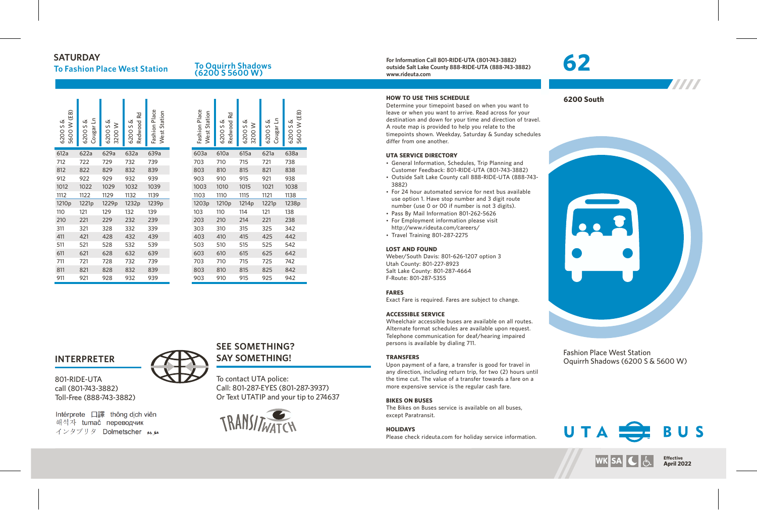### **SATURDAY**

## **To Fashion Place West Station**

#### **To Oquirrh Shadows (6200 S 5600 W)**

| (EB)<br>Ø<br>$\geq$<br>$\mathsf{S}$<br>5600<br>6200 | Cougar Ln<br>Ø<br>S<br>6200 | Ø<br>≥<br>S<br>3200<br>6200 | Rd<br>Redwood<br>య<br>S<br>6200 | Fashion Place<br>West Station | Fashion Place<br>West Station | Rd<br>Redwood<br>చ<br>S<br>6200 | ൾ<br>≥<br>S<br>6200<br>3200 | Cougar Ln<br>త<br>S<br>6200 | (FR)<br>Ø<br>≷<br>S<br>5600<br>6200 |
|-----------------------------------------------------|-----------------------------|-----------------------------|---------------------------------|-------------------------------|-------------------------------|---------------------------------|-----------------------------|-----------------------------|-------------------------------------|
| 612a                                                | 622a                        | 629a                        | 632a                            | 639a                          | 603a                          | 610a                            | 615a                        | 621a                        | 638a                                |
| 712                                                 | 722                         | 729                         | 732                             | 739                           | 703                           | 710                             | 715                         | 721                         | 738                                 |
| 812                                                 | 822                         | 829                         | 832                             | 839                           | 803                           | 810                             | 815                         | 821                         | 838                                 |
| 912                                                 | 922                         | 929                         | 932                             | 939                           | 903                           | 910                             | 915                         | 921                         | 938                                 |
| 1012                                                | 1022                        | 1029                        | 1032                            | 1039                          | 1003                          | 1010                            | 1015                        | 1021                        | 1038                                |
| 1112                                                | 1122                        | 1129                        | 1132                            | 1139                          | 1103                          | 1110                            | 1115                        | 1121                        | 1138                                |
| 1210 <sub>p</sub>                                   | 1221p                       | 1229p                       | 1232p                           | 1239p                         | 1203p                         | 1210 <sub>p</sub>               | 1214p                       | 1221p                       | 1238p                               |
| 110                                                 | 121                         | 129                         | 132                             | 139                           | 103                           | 110                             | 114                         | 121                         | 138                                 |
| 210                                                 | 221                         | 229                         | 232                             | 239                           | 203                           | 210                             | 214                         | 221                         | 238                                 |
| 311                                                 | 321                         | 328                         | 332                             | 339                           | 303                           | 310                             | 315                         | 325                         | 342                                 |
| 411                                                 | 421                         | 428                         | 432                             | 439                           | 403                           | 410                             | 415                         | 425                         | 442                                 |
| 511                                                 | 521                         | 528                         | 532                             | 539                           | 503                           | 510                             | 515                         | 525                         | 542                                 |
| 611                                                 | 621                         | 628                         | 632                             | 639                           | 603                           | 610                             | 615                         | 625                         | 642                                 |
| 711                                                 | 721                         | 728                         | 732                             | 739                           | 703                           | 710                             | 715                         | 725                         | 742                                 |
| 811                                                 | 821                         | 828                         | 832                             | 839                           | 803                           | 810                             | 815                         | 825                         | 842                                 |
| 911                                                 | 921                         | 928                         | 932                             | 939                           | 903                           | 910                             | 915                         | 925                         | 942                                 |
|                                                     |                             |                             |                                 |                               |                               |                                 |                             |                             |                                     |

#### **INTERPRETER**

801-RIDE-UTA call (801-743-3882) Toll-Free (888-743-3882)

Intérprete 口譯 thông dich viên 해석자 tumač переводчик インタプリタ Dolmetscher メル

# **SEE SOMETHING? SAY SOMETHING!**

To contact UTA police: Call: 801-287-EYES (801-287-3937) Or Text UTATIP and your tip to 274637

6200 S & 5600 W (EB)



**For Information Call 801-RIDE-UTA (801-743-3882) outside Salt Lake County 888-RIDE-UTA (888-743-3882) www.rideuta.com**

#### **HOW TO USE THIS SCHEDULE**

Determine your timepoint based on when you want to leave or when you want to arrive. Read across for your destination and down for your time and direction of travel. A route map is provided to help you relate to the timepoints shown. Weekday, Saturday & Sunday schedules differ from one another.

#### **UTA SERVICE DIRECTORY**

- General Information, Schedules, Trip Planning and Customer Feedback: 801-RIDE-UTA (801-743-3882)
- Outside Salt Lake County call 888-RIDE-UTA (888-743-3882)
- For 24 hour automated service for next bus available use option 1. Have stop number and 3 digit route number (use 0 or 00 if number is not 3 digits).
- Pass By Mail Information 801-262-5626
- For Employment information please visit
- http://www.rideuta.com/careers/ • Travel Training 801-287-2275

#### **LOST AND FOUND**

Weber/South Davis: 801-626-1207 option 3 Utah County: 801-227-8923 Salt Lake County: 801-287-4664 F-Route: 801-287-5355

#### **FARES**

Exact Fare is required. Fares are subject to change.

#### **ACCESSIBLE SERVICE**

Wheelchair accessible buses are available on all routes. Alternate format schedules are available upon request. Telephone communication for deaf/hearing impaired persons is available by dialing 711.

#### **TRANSFERS**

Upon payment of a fare, a transfer is good for travel in any direction, including return trip, for two (2) hours until the time cut. The value of a transfer towards a fare on a more expensive service is the regular cash fare.

#### **BIKES ON BUSES**

The Bikes on Buses service is available on all buses, except Paratransit.

#### **HOLIDAYS**

Please check rideuta.com for holiday service information.

# **62**



**6200 South**



Fashion Place West Station Oquirrh Shadows (6200 S & 5600 W)



**Effective MK SA C April 2022**